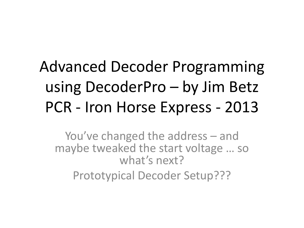### Advanced Decoder Programming using DecoderPro – by Jim Betz PCR - Iron Horse Express - 2013

You've changed the address – and maybe tweaked the start voltage … so what's next?

Prototypical Decoder Setup???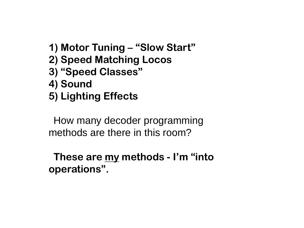- **1) Motor Tuning – "Slow Start"**
- **2) Speed Matching Locos**
- **3) "Speed Classes"**
- **4) Sound**
- **5) Lighting Effects**

How many decoder programming methods are there in this room?

 **These are my methods - I'm "into operations".**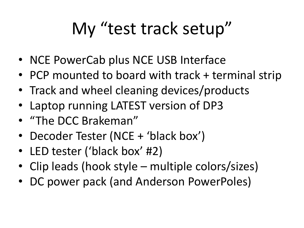### My "test track setup"

- NCE PowerCab plus NCE USB Interface
- PCP mounted to board with track + terminal strip
- Track and wheel cleaning devices/products
- Laptop running LATEST version of DP3
- "The DCC Brakeman"
- Decoder Tester (NCE + 'black box')
- LED tester ('black box' #2)
- Clip leads (hook style multiple colors/sizes)
- DC power pack (and Anderson PowerPoles)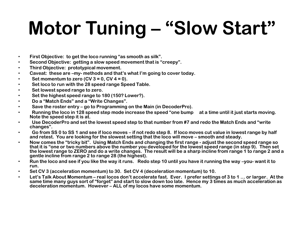# **Motor Tuning – "Slow Start"**

- **First Objective: to get the loco running "as smooth as silk".**
- **Second Objective: getting a slow speed movement that is "creepy".**
- **Third Objective: prototypical movement.**
- **Caveat: these are –my- methods and that's what I'm going to cover today.**
- • **Set momentum to zero (CV 3 = 0, CV 4 = 0).**
- • **Set loco to run with the 28 speed range Speed Table.**
- • **Set lowest speed range to zero.**
- • **Set the highest speed range to 180 (150? Lower?).**
- • **Do a "Match Ends" and a "Write Changes".**
- • **Save the roster entry – go to Programming on the Main (in DecoderPro).**
- • **Running the loco in 128 speed step mode increase the speed "one bump at a time until it just starts moving. Note the speed step it is at.**
- • **Use DecoderPro and set the lowest speed step to that number from #7 and redo the Match Ends and "write changes".**
- • **Go from SS 0 to SS 1 and see if loco moves – if not redo step 8. If loco moves cut value in lowest range by half**  and retest. You are looking for the slowest setting that the loco will move – smooth and steady.
- **Now comes the "tricky bit". Using Match Ends and changing the first range - adjust the second speed range so that it is "one or two numbers above the number you developed for the lowest speed range (in step 9). Then set the lowest range to ZERO and do a write changes. The result will be a sharp incline from range 1 to range 2 and a gentle incline from range 2 to range 28 (the highest).**
- **Run the loco and see if you like the way it runs. Redo step 10 until you have it running the way –you- want it to run.**
- **Set CV 3 (acceleration momentum) to 30. Set CV 4 (deceleration momentum) to 10.**
- **Let's Talk About Momentum – real locos don't accelerate fast. Ever. I prefer settings of 3 to 1 … or larger. At the same time many guys sort of "forget" and start to slow down too late. Hence my 3 times as much acceleration as deceleration momentum. However – ALL of my locos have some momentum.**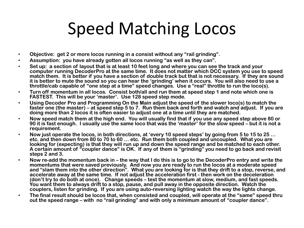#### Speed Matching Locos

- **Objective: get 2 or more locos running in a consist without any "rail grinding".**
- **Assumption: you have already gotten all locos running "as well as they can".**
- **Set up: a section of layout that is at least 10 feet long and where you can see the track and your computer running DecoderPro at the same time. It does not matter which DCC system you use to speed match them. It is better if you have a section of double track but that is not necessary. If they are sound it is better to mute the sound so you can hear the 'grinding' when it occurs. You will also need to use a throttle/cab capable of "one step at a time" speed changes. Use a "real" throttle to run the loco(s).**
- **Turn off momentum in all locos. Consist both/all and run them at speed step 1 and note which one is FASTEST. This will be your 'master'. Use 128 speed step mode.**
- **Using Decoder Pro and Programming On the Main adjust the speed of the slower loco(s) to match the faster one (the master) – at speed step 5 to 7. Run them back and forth and watch and adjust. If you are doing more than 2 locos it is often easier to adjust one at a time until they are matched.**
- **Now speed match them at the high end. You will usually find that if you use any speed step above 80 or 90 it is fast enough. I usually use the same loco that was the 'master' for the slow speed – but it is not a requirement.**
- **Now just operate the locos, in both directions, at 'every 10 speed steps' by going from 5 to 15 to 25 … etc. and then down from 80 to 70 to 60 … etc. Run them both coupled and uncoupled. What you are looking for (expecting) is that they will run up and down the speed range and be matched to each other. A certain amount of "coupler dance" is OK. If any of them is "grinding" you need to go back and revisit steps 2 and 3.**
- **Now re-add the momentum back in – the way that I do this is to go to the DecoderPro entry and write the momentums that were saved previously. And now you are ready to run the locos at a moderate speed and "slam them into the other direction". What you are looking for is that they drift to a stop, reverse, and accelerate away at the same time. If not adjust the acceleration first - then work on the deceleration (don't try to do both at once). Change speeds – test the momentum at slow, medium, and fast speeds. You want them to always drift to a stop, pause, and pull away in the opposite direction. Watch the couplers, listen for grinding. If you are using auto-reversing lighting watch the way the lights change.**
- **The final result should be locos that, when consisted and coupled, will operate at the "same" speed thru out the speed range – with no "rail grinding" and with only a minimum amount of "coupler dance".**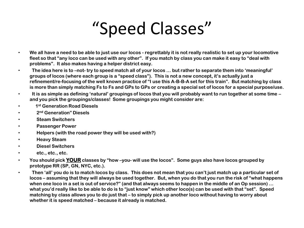### "Speed Classes"

- **We all have a need to be able to just use our locos - regrettably it is not really realistic to set up your locomotive fleet so that "any loco can be used with any other". If you match by class you can make it easy to "deal with problems". It also makes having a helper district easy.**
- • **The idea here is to –not- try to speed match all of your locos … but rather to separate them into 'meaningful' groups of locos (where each group is a "speed class"). This is not a new concept, it's actually just a refinement/re-focusing of the well known practice of "I use this A-B-B-A set for this train". But matching by class is more than simply matching Fs to Fs and GPs to GPs or creating a special set of locos for a special purpose/use.**
- • **It is as simple as defining 'natural' groupings of locos that you will probably want to run together at some time – and you pick the groupings/classes! Some groupings you might consider are:**
- • **1 st Generation Road Diesels**
- • **2 nd Generation" Diesels**
- • **Steam Switchers**
- • **Passenger Power**
- • **Helpers (with the road power they will be used with?)**
- • **Heavy Steam**
- • **Diesel Switchers**
- • **etc., etc., etc.**
- **You should pick YOUR classes by "how –you- will use the locos". Some guys also have locos grouped by prototype RR (SP, GN, NYC, etc.).**
- • **Then 'all' you do is to match locos by class. This does not mean that you can't just match up a particular set of locos – assuming that they will always be used together. But, when you do that you run the risk of "what happens when one loco in a set is out of service?" (and that always seems to happen in the middle of an Op session) … what you'd really like to be able to do is to "just know" which other loco(s) can be used with that "set". Speed matching by class allows you to do just that – to simply pick up another loco without having to worry about whether it is speed matched – because it already is matched.**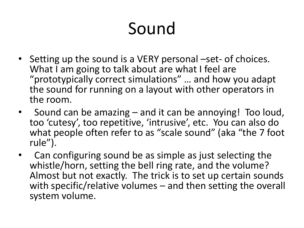### Sound

- Setting up the sound is a VERY personal –set- of choices. What I am going to talk about are what I feel are "prototypically correct simulations" … and how you adapt the sound for running on a layout with other operators in the room.
- Sound can be amazing and it can be annoying! Too loud, too 'cutesy', too repetitive, 'intrusive', etc. You can also do what people often refer to as "scale sound" (aka "the 7 foot rule").
- Can configuring sound be as simple as just selecting the whistle/horn, setting the bell ring rate, and the volume? Almost but not exactly. The trick is to set up certain sounds with specific/relative volumes – and then setting the overall system volume.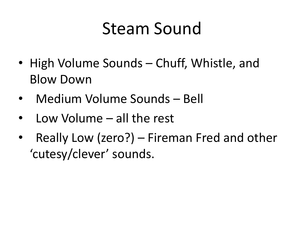### Steam Sound

- High Volume Sounds Chuff, Whistle, and Blow Down
- Medium Volume Sounds Bell
- Low Volume all the rest
- Really Low (zero?) Fireman Fred and other 'cutesy/clever' sounds.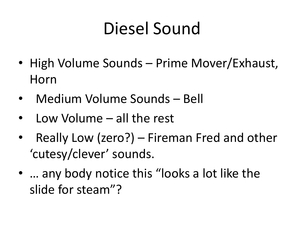### Diesel Sound

- High Volume Sounds Prime Mover/Exhaust, Horn
- Medium Volume Sounds Bell
- Low Volume all the rest
- Really Low (zero?) Fireman Fred and other 'cutesy/clever' sounds.
- … any body notice this "looks a lot like the slide for steam"?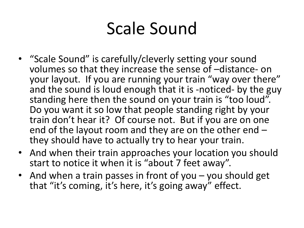### Scale Sound

- "Scale Sound" is carefully/cleverly setting your sound volumes so that they increase the sense of –distance- on your layout. If you are running your train "way over there" and the sound is loud enough that it is -noticed- by the guy standing here then the sound on your train is "too loud". Do you want it so low that people standing right by your train don't hear it? Of course not. But if you are on one end of the layout room and they are on the other end – they should have to actually try to hear your train.
- And when their train approaches your location you should start to notice it when it is "about 7 feet away".
- And when a train passes in front of you you should get that "it's coming, it's here, it's going away" effect.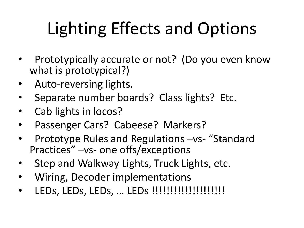## Lighting Effects and Options

- Prototypically accurate or not? (Do you even know what is prototypical?)
- Auto-reversing lights.
- Separate number boards? Class lights? Etc.
- Cab lights in locos?
- Passenger Cars? Cabeese? Markers?
- Prototype Rules and Regulations –vs- "Standard Practices" –vs- one offs/exceptions
- Step and Walkway Lights, Truck Lights, etc.
- Wiring, Decoder implementations
- LEDs, LEDs, LEDs, … LEDs !!!!!!!!!!!!!!!!!!!!